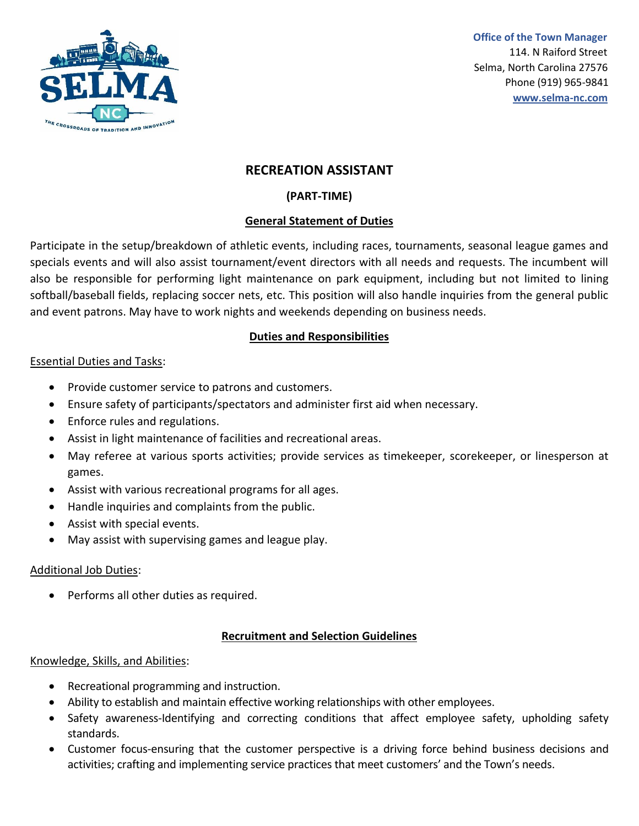

# **RECREATION ASSISTANT**

## **(PART-TIME)**

## **General Statement of Duties**

Participate in the setup/breakdown of athletic events, including races, tournaments, seasonal league games and specials events and will also assist tournament/event directors with all needs and requests. The incumbent will also be responsible for performing light maintenance on park equipment, including but not limited to lining softball/baseball fields, replacing soccer nets, etc. This position will also handle inquiries from the general public and event patrons. May have to work nights and weekends depending on business needs.

## **Duties and Responsibilities**

## Essential Duties and Tasks:

- Provide customer service to patrons and customers.
- Ensure safety of participants/spectators and administer first aid when necessary.
- Enforce rules and regulations.
- Assist in light maintenance of facilities and recreational areas.
- May referee at various sports activities; provide services as timekeeper, scorekeeper, or linesperson at games.
- Assist with various recreational programs for all ages.
- Handle inquiries and complaints from the public.
- Assist with special events.
- May assist with supervising games and league play.

## Additional Job Duties:

• Performs all other duties as required.

## **Recruitment and Selection Guidelines**

## Knowledge, Skills, and Abilities:

- Recreational programming and instruction.
- Ability to establish and maintain effective working relationships with other employees.
- Safety awareness-Identifying and correcting conditions that affect employee safety, upholding safety standards.
- Customer focus-ensuring that the customer perspective is a driving force behind business decisions and activities; crafting and implementing service practices that meet customers' and the Town's needs.